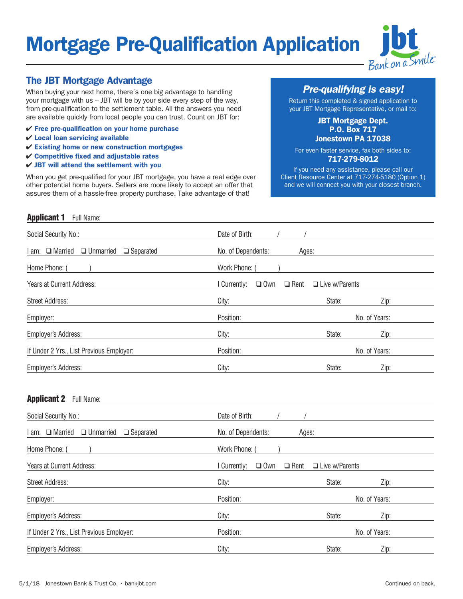# **Mortgage Pre-Qualification Application**



### The JBT Mortgage Advantage

When buying your next home, there's one big advantage to handling your mortgage with us – JBT will be by your side every step of the way, from pre-qualification to the settlement table. All the answers you need are available quickly from local people you can trust. Count on JBT for:

- $\checkmark$  Free pre-qualification on your home purchase
- $V$  Local loan servicing available
- $\checkmark$  Existing home or new construction mortgages
- $\checkmark$  Competitive fixed and adjustable rates
- $\checkmark$  JBT will attend the settlement with you

When you get pre-qualified for your JBT mortgage, you have a real edge over other potential home buyers. Sellers are more likely to accept an offer that assures them of a hassle-free property purchase. Take advantage of that!

*Pre-qualifying is easy!*

Return this completed & signed application to your JBT Mortgage Representative, or mail to:

#### JBT Mortgage Dept. P.O. Box 717 Jonestown PA 17038

For even faster service, fax both sides to:

#### 717-279-8012

If you need any assistance, please call our Client Resource Center at 717-274-5180 (Option 1) and we will connect you with your closest branch.

#### **Applicant 1** Full Name:

| Social Security No.:                                          | Date of Birth:                                                   |
|---------------------------------------------------------------|------------------------------------------------------------------|
| $\Box$ Married<br>$\Box$ Unmarried<br>$\Box$ Separated<br>am: | No. of Dependents:<br>Ages:                                      |
| Home Phone: (                                                 | Work Phone:                                                      |
| Years at Current Address:                                     | $\Box$ Rent<br>$\Box$ Own<br>$\Box$ Live w/Parents<br>Currently: |
| <b>Street Address:</b>                                        | State:<br>City:<br>Zip:                                          |
| Employer:                                                     | Position:<br>No. of Years:                                       |
| <b>Employer's Address:</b>                                    | City:<br>State:<br>Zip:                                          |
| If Under 2 Yrs., List Previous Employer:                      | Position:<br>No. of Years:                                       |
| <b>Employer's Address:</b>                                    | State:<br>Zip:<br>City:                                          |

#### Applicant 2 Full Name:

| Social Security No.:                                    | Date of Birth:                          |                       |  |  |
|---------------------------------------------------------|-----------------------------------------|-----------------------|--|--|
| I am: □ Married<br>$\Box$ Unmarried<br>$\Box$ Separated | No. of Dependents:<br>Ages:             |                       |  |  |
| Home Phone:                                             | Work Phone:                             |                       |  |  |
| Years at Current Address:                               | $\Box$ Own<br>$\Box$ Rent<br>Currently: | $\Box$ Live w/Parents |  |  |
| <b>Street Address:</b>                                  | City:                                   | State:<br>Zip:        |  |  |
| Employer:                                               | Position:                               | No. of Years:         |  |  |
| <b>Employer's Address:</b>                              | City:                                   | Zip:<br>State:        |  |  |
| If Under 2 Yrs., List Previous Employer:                | Position:                               | No. of Years:         |  |  |
| <b>Employer's Address:</b>                              | City:                                   | State:<br>Zip:        |  |  |